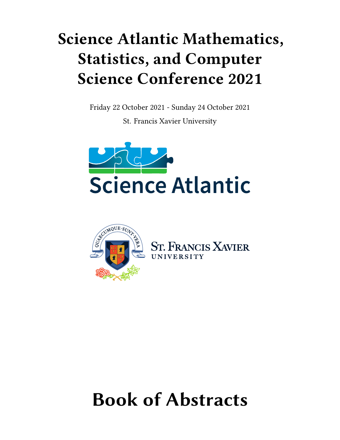## **Science Atlantic Mathematics, Statistics, and Computer Science Conference 2021**

Friday 22 October 2021 - Sunday 24 October 2021

St. Francis Xavier University





NCIS XAVIER<br>sity

# **Book of Abstracts**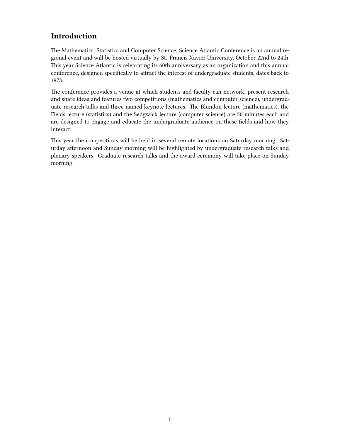## **Introduction**

<span id="page-1-0"></span>The Mathematics, Statistics and Computer Science, Science Atlantic Conference is an annual regional event and will be hosted virtually by St. Francis Xavier University, October 22nd to 24th. This year Science Atlantic is celebrating its 60th anniversary as an organization and this annual conference, designed specifically to attract the interest of undergraduate students, dates back to 1978.

The conference provides a venue at which students and faculty can network, present research and share ideas and features two competitions (mathematics and computer science), undergraduate research talks and three named keynote lectures. The Blundon lecture (mathematics), the Fields lecture (statistics) and the Sedgwick lecture (computer science) are 50 minutes each and are designed to engage and educate the undergraduate audience on these fields and how they interact.

This year the competitions will be held in several remote locations on Saturday morning. Saturday afternoon and Sunday morning will be highlighted by undergraduate research talks and plenary speakers. Graduate research talks and the award ceremony will take place on Sunday morning.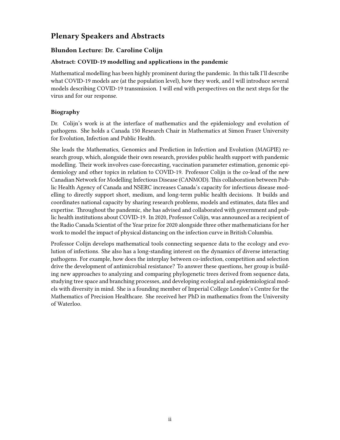## <span id="page-2-0"></span>**Plenary Speakers and Abstracts**

### **Blundon Lecture: Dr. Caroline Colijn**

#### **Abstract: COVID-19 modelling and applications in the pandemic**

Mathematical modelling has been highly prominent during the pandemic. In this talk I'll describe what COVID-19 models are (at the population level), how they work, and I will introduce several models describing COVID-19 transmission. I will end with perspectives on the next steps for the virus and for our response.

#### **Biography**

Dr. Colijn's work is at the interface of mathematics and the epidemiology and evolution of pathogens. She holds a Canada 150 Research Chair in Mathematics at Simon Fraser University for Evolution, Infection and Public Health.

She leads the Mathematics, Genomics and Prediction in Infection and Evolution (MAGPIE) research group, which, alongside their own research, provides public health support with pandemic modelling. Their work involves case-forecasting, vaccination parameter estimation, genomic epidemiology and other topics in relation to COVID-19. Professor Colijn is the co-lead of the new Canadian Network for Modelling Infectious Disease (CANMOD). This collaboration between Public Health Agency of Canada and NSERC increases Canada's capacity for infectious disease modelling to directly support short, medium, and long-term public health decisions. It builds and coordinates national capacity by sharing research problems, models and estimates, data files and expertise. Throughout the pandemic, she has advised and collaborated with government and public health institutions about COVID-19. In 2020, Professor Colijn, was announced as a recipient of the Radio Canada Scientist of the Year prize for 2020 alongside three other mathematicians for her work to model the impact of physical distancing on the infection curve in British Columbia.

Professor Colijn develops mathematical tools connecting sequence data to the ecology and evolution of infections. She also has a long-standing interest on the dynamics of diverse interacting pathogens. For example, how does the interplay between co-infection, competition and selection drive the development of antimicrobial resistance? To answer these questions, her group is building new approaches to analyzing and comparing phylogenetic trees derived from sequence data, studying tree space and branching processes, and developing ecological and epidemiological models with diversity in mind. She is a founding member of Imperial College London's Centre for the Mathematics of Precision Healthcare. She received her PhD in mathematics from the University of Waterloo.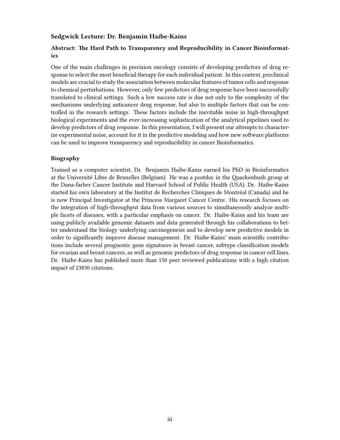#### **Sedgwick Lecture: Dr. Benjamin Haibe-Kains**

#### **Abstract: The Hard Path to Transparency and Reproducibility in Cancer Bioinformatics**

One of the main challenges in precision oncology consists of developing predictors of drug response to select the most beneficial therapy for each individual patient. In this context, preclinical models are crucial to study the association between molecular features of tumor cells and response to chemical perturbations. However, only few predictors of drug response have been successfully translated to clinical settings. Such a low success rate is due not only to the complexity of the mechanisms underlying anticancer drug response, but also to multiple factors that can be controlled in the research settings. These factors include the inevitable noise in high-throughput biological experiments and the ever-increasing sophistication of the analytical pipelines used to develop predictors of drug response. In this presentation, I will present our attempts to characterize experimental noise, account for it in the predictive modeling and how new software platforms can be used to improve transparency and reproducibility in cancer Bioinformatics.

#### **Biography**

Trained as a computer scientist, Dr. Benjamin Haibe-Kains earned his PhD in Bioinformatics at the Université Libre de Bruxelles (Belgium). He was a postdoc in the Quackenbush group at the Dana-farber Cancer Institute and Harvard School of Public Health (USA). Dr. Haibe-Kains started his own laboratory at the Institut de Recherches Cliniques de Montréal (Canada) and he is now Principal Investigator at the Princess Margaret Cancer Centre. His research focuses on the integration of high-throughput data from various sources to simultaneously analyze multiple facets of diseases, with a particular emphasis on cancer. Dr. Haibe-Kains and his team are using publicly available genomic datasets and data generated through his collaborations to better understand the biology underlying carcinogenesis and to develop new predictive models in order to significantly improve disease management. Dr. Haibe-Kains' main scientific contributions include several prognostic gene signatures in breast cancer, subtype classification models for ovarian and breast cancers, as well as genomic predictors of drug response in cancer cell lines. Dr. Haibe-Kains has published more than 150 peer reviewed publications with a high citation impact of 23830 citations.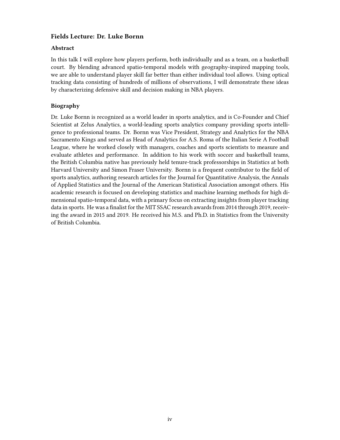#### **Fields Lecture: Dr. Luke Bornn**

#### **Abstract**

In this talk I will explore how players perform, both individually and as a team, on a basketball court. By blending advanced spatio-temporal models with geography-inspired mapping tools, we are able to understand player skill far better than either individual tool allows. Using optical tracking data consisting of hundreds of millions of observations, I will demonstrate these ideas by characterizing defensive skill and decision making in NBA players.

#### **Biography**

Dr. Luke Bornn is recognized as a world leader in sports analytics, and is Co-Founder and Chief Scientist at Zelus Analytics, a world-leading sports analytics company providing sports intelligence to professional teams. Dr. Bornn was Vice President, Strategy and Analytics for the NBA Sacramento Kings and served as Head of Analytics for A.S. Roma of the Italian Serie A Football League, where he worked closely with managers, coaches and sports scientists to measure and evaluate athletes and performance. In addition to his work with soccer and basketball teams, the British Columbia native has previously held tenure-track professorships in Statistics at both Harvard University and Simon Fraser University. Bornn is a frequent contributor to the field of sports analytics, authoring research articles for the Journal for Quantitative Analysis, the Annals of Applied Statistics and the Journal of the American Statistical Association amongst others. His academic research is focused on developing statistics and machine learning methods for high dimensional spatio-temporal data, with a primary focus on extracting insights from player tracking data in sports. He was a finalist for the MIT SSAC research awards from 2014 through 2019, receiving the award in 2015 and 2019. He received his M.S. and Ph.D. in Statistics from the University of British Columbia.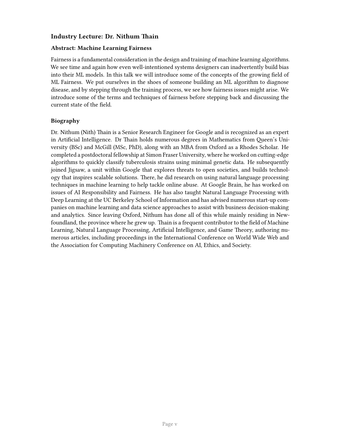#### **Industry Lecture: Dr. Nithum Thain**

#### **Abstract: Machine Learning Fairness**

Fairness is a fundamental consideration in the design and training of machine learning algorithms. We see time and again how even well-intentioned systems designers can inadvertently build bias into their ML models. In this talk we will introduce some of the concepts of the growing field of ML Fairness. We put ourselves in the shoes of someone building an ML algorithm to diagnose disease, and by stepping through the training process, we see how fairness issues might arise. We introduce some of the terms and techniques of fairness before stepping back and discussing the current state of the field.

#### **Biography**

Dr. Nithum (Nith) Thain is a Senior Research Engineer for Google and is recognized as an expert in Artificial Intelligence. Dr Thain holds numerous degrees in Mathematics from Queen's University (BSc) and McGill (MSc, PhD), along with an MBA from Oxford as a Rhodes Scholar. He completed a postdoctoral fellowship at Simon Fraser University, where he worked on cutting-edge algorithms to quickly classify tuberculosis strains using minimal genetic data. He subsequently joined Jigsaw, a unit within Google that explores threats to open societies, and builds technology that inspires scalable solutions. There, he did research on using natural language processing techniques in machine learning to help tackle online abuse. At Google Brain, he has worked on issues of AI Responsibility and Fairness. He has also taught Natural Language Processing with Deep Learning at the UC Berkeley School of Information and has advised numerous start-up companies on machine learning and data science approaches to assist with business decision-making and analytics. Since leaving Oxford, Nithum has done all of this while mainly residing in Newfoundland, the province where he grew up. Thain is a frequent contributor to the field of Machine Learning, Natural Language Processing, Artificial Intelligence, and Game Theory, authoring numerous articles, including proceedings in the International Conference on World Wide Web and the Association for Computing Machinery Conference on AI, Ethics, and Society.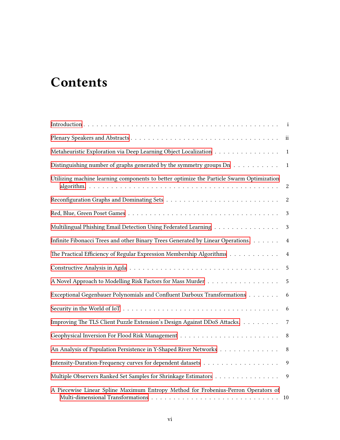## **Contents**

|                                                                                          | $\mathbf{i}$            |
|------------------------------------------------------------------------------------------|-------------------------|
|                                                                                          | $\overline{\mathbf{u}}$ |
| Metaheuristic Exploration via Deep Learning Object Localization                          | $\mathbf{1}$            |
| Distinguishing number of graphs generated by the symmetry groups Dn                      | $\mathbf{1}$            |
| Utilizing machine learning components to better optimize the Particle Swarm Optimization | $\sqrt{2}$              |
|                                                                                          | $\boldsymbol{2}$        |
|                                                                                          | 3                       |
| Multilingual Phishing Email Detection Using Federated Learning                           | 3                       |
| Infinite Fibonacci Trees and other Binary Trees Generated by Linear Operations.          | $\overline{4}$          |
| The Practical Efficiency of Regular Expression Membership Algorithms                     | $\overline{4}$          |
|                                                                                          | $\sqrt{5}$              |
| A Novel Approach to Modelling Risk Factors for Mass Murder                               | 5                       |
| Exceptional Gegenbauer Polynomials and Confluent Darboux Transformations                 | 6                       |
|                                                                                          | 6                       |
| Improving The TLS Client Puzzle Extension's Design Against DDoS Attacks.                 | $\overline{7}$          |
|                                                                                          | 8                       |
| An Analysis of Population Persistence in Y-Shaped River Networks                         | 8                       |
|                                                                                          | 9                       |
| Multiple Observers Ranked Set Samples for Shrinkage Estimators                           | 9                       |
| A Piecewise Linear Spline Maximum Entropy Method for Frobenius-Perron Operators of       | 10                      |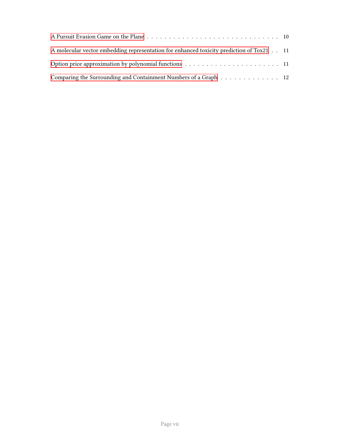| A molecular vector embedding representation for enhanced toxicity prediction of Tox21 11 |  |
|------------------------------------------------------------------------------------------|--|
|                                                                                          |  |
| Comparing the Surrounding and Containment Numbers of a Graph 12                          |  |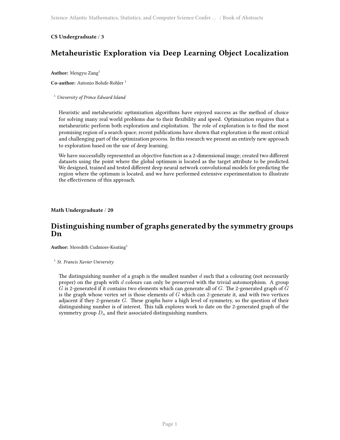#### <span id="page-8-0"></span>**CS Undergraduate** / **3**

## **Metaheuristic Exploration via Deep Learning Object Localization**

**Author:** Mengyu Zang<sup>1</sup>

**Co-author:** Antonio Bolufe-Rohler <sup>1</sup>

#### <sup>1</sup> *University of Prince Edward Island*

Heuristic and metaheuristic optimization algorithms have enjoyed success as the method of choice for solving many real world problems due to their flexibility and speed. Optimization requires that a metaheuristic perform both exploration and exploitation. The role of exploration is to find the most promising region of a search space; recent publications have shown that exploration is the most critical and challenging part of the optimization process. In this research we present an entirely new approach to exploration based on the use of deep learning.

We have successfully represented an objective function as a 2-dimensional image; created two different datasets using the point where the global optimum is located as the target attribute to be predicted. We designed, trained and tested different deep neural network convolutional models for predicting the region where the optimum is located, and we have performed extensive experimentation to illustrate the effectiveness of this approach.

<span id="page-8-1"></span>**Math Undergraduate** / **20**

### **Distinguishing number of graphs generated by the symmetry groups Dn**

**Author:** Meredith Cudmore-Keating<sup>1</sup>

1 *St. Francis Xavier University*

The distinguishing number of a graph is the smallest number *d* such that a colouring (not necessarily proper) on the graph with *d* colours can only be preserved with the trivial automorphism. A group *G* is 2-generated if it contains two elements which can generate all of *G*. The 2-generated graph of *G* is the graph whose vertex set is those elements of *G* which can 2-generate it, and with two vertices adjacent if they 2-generate *G*. These graphs have a high level of symmetry, so the question of their distinguishing number is of interest. This talk explores work to date on the 2-generated graph of the symmetry group  $D_n$  and their associated distinguishing numbers.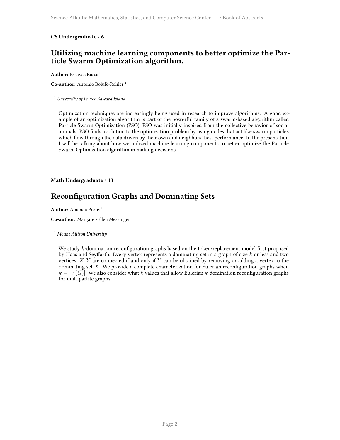#### <span id="page-9-0"></span>**CS Undergraduate** / **6**

## **Utilizing machine learning components to better optimize the Particle Swarm Optimization algorithm.**

**Author:** Essayas Kassa<sup>1</sup>

Co-author: Antonio Bolufe-Rohler<sup>1</sup>

<sup>1</sup> *University of Prince Edward Island*

Optimization techniques are increasingly being used in research to improve algorithms. A good example of an optimization algorithm is part of the powerful family of a swarm-based algorithm called Particle Swarm Optimization (PSO). PSO was initially inspired from the collective behavior of social animals. PSO finds a solution to the optimization problem by using nodes that act like swarm particles which flow through the data driven by their own and neighbors' best performance. In the presentation I will be talking about how we utilized machine learning components to better optimize the Particle Swarm Optimization algorithm in making decisions.

<span id="page-9-1"></span>**Math Undergraduate** / **13**

## **Reconfiguration Graphs and Dominating Sets**

**Author:** Amanda Porter<sup>1</sup>

**Co-author:** Margaret-Ellen Messinger<sup>1</sup>

<sup>1</sup> *Mount Allison University*

We study *k*-domination reconfiguration graphs based on the token/replacement model first proposed by Haas and Seyffarth. Every vertex represents a dominating set in a graph of size *k* or less and two vertices, *X, Y* are connected if and only if *Y* can be obtained by removing or adding a vertex to the dominating set *X*. We provide a complete characterization for Eulerian reconfiguration graphs when  $k = |V(G)|$ . We also consider what *k* values that allow Eulerian *k*-domination reconfiguration graphs for multipartite graphs.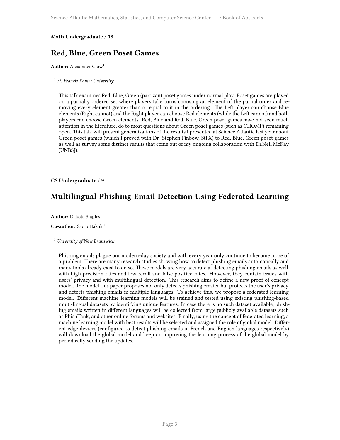## <span id="page-10-0"></span>**Red, Blue, Green Poset Games**

**Author:** Alexander Clow<sup>1</sup>

1 *St. Francis Xavier University*

This talk examines Red, Blue, Green (partizan) poset games under normal play. Poset games are played on a partially ordered set where players take turns choosing an element of the partial order and removing every element greater than or equal to it in the ordering. The Left player can choose Blue elements (Right cannot) and the Right player can choose Red elements (while the Left cannot) and both players can choose Green elements. Red, Blue and Red, Blue, Green poset games have not seen much attention in the literature, do to most questions about Green poset games (such as CHOMP) remaining open. This talk will present generalizations of the results I presented at Science Atlantic last year about Green poset games (which I proved with Dr. Stephen Finbow, StFX) to Red, Blue, Green poset games as well as survey some distinct results that come out of my ongoing collaboration with Dr.Neil McKay (UNBSJ).

#### <span id="page-10-1"></span>**CS Undergraduate** / **9**

## **Multilingual Phishing Email Detection Using Federated Learning**

**Author:** Dakota Staples<sup>1</sup>

**Co-author:** Saqib Hakak <sup>1</sup>

#### <sup>1</sup> *University of New Brunswick*

Phishing emails plague our modern-day society and with every year only continue to become more of a problem. There are many research studies showing how to detect phishing emails automatically and many tools already exist to do so. These models are very accurate at detecting phishing emails as well, with high precision rates and low recall and false positive rates. However, they contain issues with users' privacy and with multilingual detection. This research aims to define a new proof of concept model. The model this paper proposes not only detects phishing emails, but protects the user's privacy, and detects phishing emails in multiple languages. To achieve this, we propose a federated learning model. Different machine learning models will be trained and tested using existing phishing-based multi-lingual datasets by identifying unique features. In case there is no such dataset available, phishing emails written in different languages will be collected from large publicly available datasets such as PhishTank, and other online forums and websites. Finally, using the concept of federated learning, a machine learning model with best results will be selected and assigned the role of global model. Different edge devices (configured to detect phishing emails in French and English languages respectively) will download the global model and keep on improving the learning process of the global model by periodically sending the updates.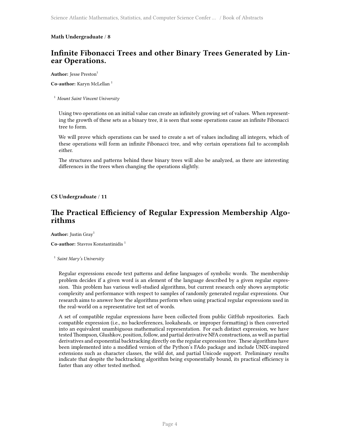## <span id="page-11-0"></span>**Infinite Fibonacci Trees and other Binary Trees Generated by Linear Operations.**

**Author:** Jesse Preston<sup>1</sup>

**Co-author:** Karyn McLellan <sup>1</sup>

#### <sup>1</sup> *Mount Saint Vincent University*

Using two operations on an initial value can create an infinitely growing set of values. When representing the growth of these sets as a binary tree, it is seen that some operations cause an infinite Fibonacci tree to form.

We will prove which operations can be used to create a set of values including all integers, which of these operations will form an infinite Fibonacci tree, and why certain operations fail to accomplish either.

The structures and patterns behind these binary trees will also be analyzed, as there are interesting differences in the trees when changing the operations slightly.

#### <span id="page-11-1"></span>**CS Undergraduate** / **11**

## **The Practical Efficiency of Regular Expression Membership Algorithms**

Author: Justin Gray<sup>1</sup>

**Co-author:** Stavros Konstantinidis <sup>1</sup>

1 *Saint Mary's University*

Regular expressions encode text patterns and define languages of symbolic words. The membership problem decides if a given word is an element of the language described by a given regular expression. This problem has various well-studied algorithms, but current research only shows asymptotic complexity and performance with respect to samples of randomly generated regular expressions. Our research aims to answer how the algorithms perform when using practical regular expressions used in the real-world on a representative test set of words.

A set of compatible regular expressions have been collected from public GitHub repositories. Each compatible expression (i.e., no backreferences, lookaheads, or improper formatting) is then converted into an equivalent unambiguous mathematical representation. For each distinct expression, we have tested Thompson, Glushkov, position, follow, and partial derivative NFA constructions, as well as partial derivatives and exponential backtracking directly on the regular expression tree. These algorithms have been implemented into a modified version of the Python's FAdo package and include UNIX-inspired extensions such as character classes, the wild dot, and partial Unicode support. Preliminary results indicate that despite the backtracking algorithm being exponentially bound, its practical efficiency is faster than any other tested method.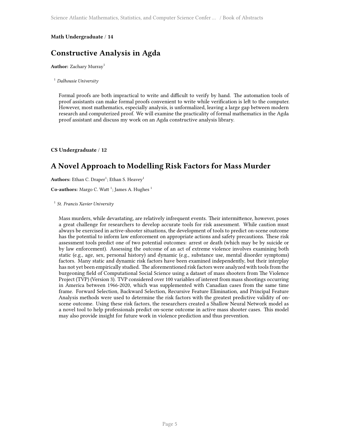## <span id="page-12-0"></span>**Constructive Analysis in Agda**

**Author:** Zachary Murray<sup>1</sup>

<sup>1</sup> *Dalhousie University*

Formal proofs are both impractical to write and difficult to verify by hand. The automation tools of proof assistants can make formal proofs convenient to write while verification is left to the computer. However, most mathematics, especially analysis, is unformalized, leaving a large gap between modern research and computerized proof. We will examine the practicality of formal mathematics in the Agda proof assistant and discuss my work on an Agda constructive analysis library.

<span id="page-12-1"></span>**CS Undergraduate** / **12**

## **A Novel Approach to Modelling Risk Factors for Mass Murder**

Authors: Ethan C. Draper<sup>1</sup>; Ethan S. Heavey<sup>1</sup>

Co-authors: Margo C. Watt<sup>1</sup>; James A. Hughes<sup>1</sup>

1 *St. Francis Xavier University*

Mass murders, while devastating, are relatively infrequent events. Their intermittence, however, poses a great challenge for researchers to develop accurate tools for risk assessment. While caution must always be exercised in active-shooter situations, the development of tools to predict on-scene outcome has the potential to inform law enforcement on appropriate actions and safety precautions. These risk assessment tools predict one of two potential outcomes: arrest or death (which may be by suicide or by law enforcement). Assessing the outcome of an act of extreme violence involves examining both static (e.g., age, sex, personal history) and dynamic (e.g., substance use, mental disorder symptoms) factors. Many static and dynamic risk factors have been examined independently, but their interplay has not yet been empirically studied. The aforementioned risk factors were analyzed with tools from the burgeoning field of Computational Social Science using a dataset of mass shooters from The Violence Project (TVP) (Version 3). TVP considered over 100 variables of interest from mass shootings occurring in America between 1966-2020, which was supplemented with Canadian cases from the same time frame. Forward Selection, Backward Selection, Recursive Feature Elimination, and Principal Feature Analysis methods were used to determine the risk factors with the greatest predictive validity of onscene outcome. Using these risk factors, the researchers created a Shallow Neural Network model as a novel tool to help professionals predict on-scene outcome in active mass shooter cases. This model may also provide insight for future work in violence prediction and thus prevention.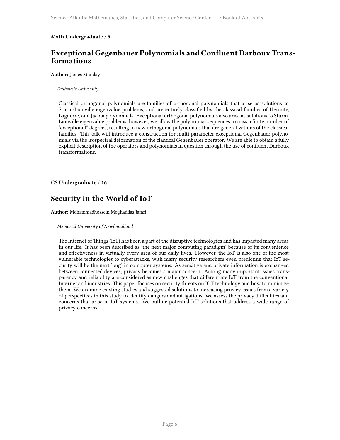## <span id="page-13-0"></span>**Exceptional Gegenbauer Polynomials and Confluent Darboux Transformations**

**Author:** James Munday<sup>1</sup>

<sup>1</sup> *Dalhousie University*

Classical orthogonal polynomials are families of orthogonal polynomials that arise as solutions to Sturm-Liouville eigenvalue problems, and are entirely classified by the classical families of Hermite, Laguerre, and Jacobi polynomials. Exceptional orthogonal polynomials also arise as solutions to Sturm-Liouville eigenvalue problems; however, we allow the polynomial sequences to miss a finite number of "exceptional" degrees, resulting in new orthogonal polynomials that are generalizations of the classical families. This talk will introduce a construction for multi-parameter exceptional Gegenbauer polynomials via the isospectral deformation of the classical Gegenbauer operator. We are able to obtain a fully explicit description of the operators and polynomials in question through the use of confluent Darboux transformations.

<span id="page-13-1"></span>**CS Undergraduate** / **16**

## **Security in the World of IoT**

**Author:** Mohammadhossein Moghaddas Jafari<sup>1</sup>

<sup>1</sup> *Memorial University of Newfoundland*

The Internet of Things (IoT) has been a part of the disruptive technologies and has impacted many areas in our life. It has been described as 'the next major computing paradigm' because of its convenience and effectiveness in virtually every area of our daily lives. However, the IoT is also one of the most vulnerable technologies to cyberattacks, with many security researchers even predicting that IoT security will be the next 'bug' in computer systems. As sensitive and private information is exchanged between connected devices, privacy becomes a major concern. Among many important issues transparency and reliability are considered as new challenges that differentiate IoT from the conventional Internet and industries. This paper focuses on security threats on IOT technology and how to minimize them. We examine existing studies and suggested solutions to increasing privacy issues from a variety of perspectives in this study to identify dangers and mitigations. We assess the privacy difficulties and concerns that arise in IoT systems. We outline potential IoT solutions that address a wide range of privacy concerns.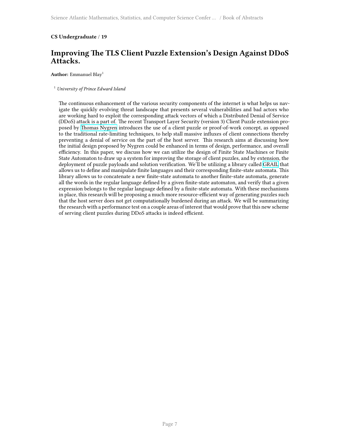#### <span id="page-14-0"></span>**CS Undergraduate** / **19**

## **Improving The TLS Client Puzzle Extension's Design Against DDoS Attacks.**

Author: Emmanuel Blay<sup>1</sup>

#### <sup>1</sup> *University of Prince Edward Island*

The continuous enhancement of the various security components of the internet is what helps us navigate the quickly evolving threat landscape that presents several vulnerabilities and bad actors who are working hard to exploit the corresponding attack vectors of which a Distributed Denial of Service (DDoS) attack is a part of. The recent Transport Layer Security (version 3) Client Puzzle extension proposed by [Thomas Nygren](https://tools.ietf.org/pdf/draft-nygren-tls-client-puzzles-00.pdf) introduces the use of a client puzzle or proof-of-work concept, as opposed to the traditional rate-limiting techniques, to help stall massive influxes of client connections thereby preventing a denial of service on the part of the host server. This research aims at discussing how the initial design proposed by Nygren could be enhanced in terms of design, performance, and overall efficiency. In this paper, we discuss how we can utilize the design of Finite State Machines or Finite State Automaton to draw up a system for improving the storage of client puzzles, and by extension, the deployment of puzzle payloads and solution verification. We'll be utilizing a library called [GRAIL](http://grail.smcs.upei.ca/Mirrors/www.csd.uwo.ca/research/Grail/) that allows us to define and manipulate finite languages and their corresponding finite-state automata. This library allows us to concatenate a new finite-state automata to another finite-state automata, generate all the words in the regular language defined by a given finite-state automaton, and verify that a given expression belongs to the regular language defined by a finite-state automata. With these mechanisms in place, this research will be proposing a much more resource-efficient way of generating puzzles such that the host server does not get computationally burdened during an attack. We will be summarizing the research with a performance test on a couple areas of interest that would prove that this new scheme of serving client puzzles during DDoS attacks is indeed efficient.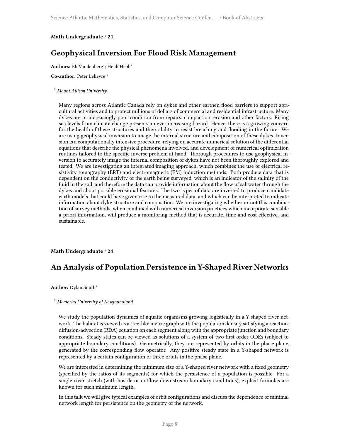## <span id="page-15-0"></span>**Geophysical Inversion For Flood Risk Management**

Authors: Eli Vandenberg<sup>1</sup>; Heidi Hebb<sup>1</sup>

**Co-author:** Peter Lelievre <sup>1</sup>

#### <sup>1</sup> *Mount Allison University*

Many regions across Atlantic Canada rely on dykes and other earthen flood barriers to support agricultural activities and to protect millions of dollars of commercial and residential infrastructure. Many dykes are in increasingly poor condition from repairs, compaction, erosion and other factors. Rising sea levels from climate change presents an ever increasing hazard. Hence, there is a growing concern for the health of these structures and their ability to resist breaching and flooding in the future. We are using geophysical inversion to image the internal structure and composition of these dykes. Inversion is a computationally intensive procedure, relying on accurate numerical solution of the differential equations that describe the physical phenomena involved, and development of numerical optimization routines tailored to the specific inverse problem at hand. Thorough procedures to use geophysical inversion to accurately image the internal composition of dykes have not been thoroughly explored and tested. We are investigating an integrated imaging approach, which combines the use of electrical resistivity tomography (ERT) and electromagnetic (EM) induction methods. Both produce data that is dependent on the conductivity of the earth being surveyed, which is an indicator of the salinity of the fluid in the soil, and therefore the data can provide information about the flow of saltwater through the dykes and about possible erosional features. The two types of data are inverted to produce candidate earth models that could have given rise to the measured data, and which can be interpreted to indicate information about dyke structure and composition. We are investigating whether or not this combination of survey methods, when combined with numerical inversion practices which incorporate sensible a-priori information, will produce a monitoring method that is accurate, time and cost effective, and sustainable.

#### <span id="page-15-1"></span>**Math Undergraduate** / **24**

## **An Analysis of Population Persistence in Y-Shaped River Networks**

**Author:** Dylan Smith<sup>1</sup>

#### <sup>1</sup> *Memorial University of Newfoundland*

We study the population dynamics of aquatic organisms growing logistically in a Y-shaped river network. The habitat is viewed as a tree-like metric graph with the population density satisfying a reactiondiffusion-advection (RDA) equation on each segment along with the appropriate junction and boundary conditions. Steady states can be viewed as solutions of a system of two first order ODEs (subject to appropriate boundary conditions). Geometrically, they are represented by orbits in the phase plane, generated by the corresponding flow operator. Any positive steady state in a Y-shaped network is represented by a certain configuration of three orbits in the phase plane.

We are interested in determining the minimum size of a Y-shaped river network with a fixed geometry (specified by the ratios of its segments) for which the persistence of a population is possible. For a single river stretch (with hostile or outflow downstream boundary conditions), explicit formulas are known for such minimum length.

In this talk we will give typical examples of orbit configurations and discuss the dependence of minimal network length for persistence on the geometry of the network.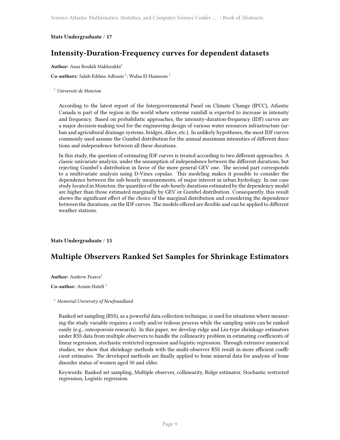#### <span id="page-16-0"></span>**Stats Undergraduate** / **17**

## **Intensity-Duration-Frequency curves for dependent datasets**

**Author:** Anas Boukili Makhoukhi<sup>1</sup>

Co-authors: Salah-Eddine Adlouni<sup>1</sup>; Wafaa El Hannoun<sup>1</sup>

<sup>1</sup> *Université de Moncton*

According to the latest report of the Intergovernmental Panel on Climate Change (IPCC), Atlantic Canada is part of the region in the world where extreme rainfall is expected to increase in intensity and frequency. Based on probabilistic approaches, the intensity-duration-frequency (IDF) curves are a major decision-making tool for the engineering design of various water resources infrastructure (urban and agricultural drainage systems, bridges, dikes, etc.). In unlikely hypotheses, the most IDF curves commonly used assume the Gumbel distribution for the annual maximum intensities of different durations and independence between all these durations.

In this study, the question of estimating IDF curves is treated according to two different approaches. A classic univariate analysis, under the assumption of independence between the different durations, but rejecting Gumbel's distribution in favor of the more general GEV one. The second part corresponds to a multivariate analysis using D-Vines copulas. This modeling makes it possible to consider the dependence between the sub-hourly measurements, of major interest in urban hydrology. In our case study located in Moncton, the quantiles of the sub-hourly durations estimated by the dependency model are higher than those estimated marginally by GEV or Gumbel distribution. Consequently, this result shows the significant effect of the choice of the marginal distribution and considering the dependence between the durations, on the IDF curves. The models offered are flexible and can be applied to different weather stations.

<span id="page-16-1"></span>**Stats Undergraduate** / **15**

## **Multiple Observers Ranked Set Samples for Shrinkage Estimators**

Author: Andrew Pearce<sup>1</sup>

**Co-author:** Armin Hatefi<sup>1</sup>

<sup>1</sup> *Memorial University of Newfoundland*

Ranked set sampling (RSS), as a powerful data collection technique, is used for situations where measuring the study variable requires a costly and/or tedious process while the sampling units can be ranked easily (e.g., osteoporosis research). In this paper, we develop ridge and Liu-type shrinkage estimators under RSS data from multiple observers to handle the collinearity problem in estimating coefficients of linear regression, stochastic restricted regression and logistic regression. Through extensive numerical studies, we show that shrinkage methods with the multi-observer RSS result in more efficient coefficient estimates. The developed methods are finally applied to bone mineral data for analysis of bone disorder status of women aged 50 and older.

Keywords: Ranked set sampling, Multiple observer, collinearity, Ridge estimator, Stochastic restricted regression, Logistic regression.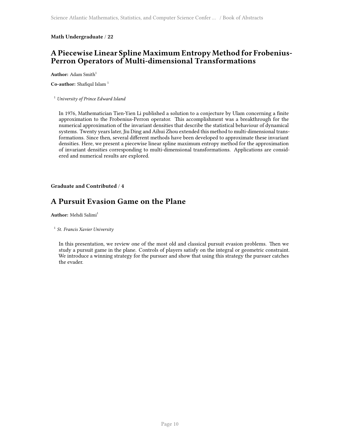## <span id="page-17-0"></span>**A Piecewise Linear Spline Maximum Entropy Method for Frobenius-Perron Operators of Multi-dimensional Transformations**

**Author:** Adam Smith<sup>1</sup>

**Co-author:** Shafiqul Islam<sup>1</sup>

<sup>1</sup> *University of Prince Edward Island*

In 1976, Mathematician Tien-Yien Li published a solution to a conjecture by Ulam concerning a finite approximation to the Frobenius-Perron operator. This accomplishment was a breakthrough for the numerical approximation of the invariant densities that describe the statistical behaviour of dynamical systems. Twenty years later, Jiu Ding and Aihui Zhou extended this method to multi-dimensional transformations. Since then, several different methods have been developed to approximate these invariant densities. Here, we present a piecewise linear spline maximum entropy method for the approximation of invariant densities corresponding to multi-dimensional transformations. Applications are considered and numerical results are explored.

<span id="page-17-1"></span>**Graduate and Contributed** / **4**

## **A Pursuit Evasion Game on the Plane**

**Author:** Mehdi Salimi<sup>1</sup>

1 *St. Francis Xavier University*

In this presentation, we review one of the most old and classical pursuit evasion problems. Then we study a pursuit game in the plane. Controls of players satisfy on the integral or geometric constraint. We introduce a winning strategy for the pursuer and show that using this strategy the pursuer catches the evader.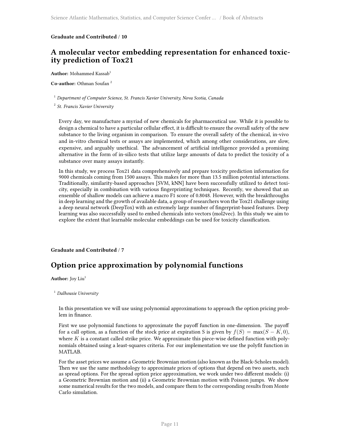#### <span id="page-18-0"></span>**Graduate and Contributed** / **10**

## **A molecular vector embedding representation for enhanced toxicity prediction of Tox21**

Author: Mohammed Kassab<sup>1</sup>

**Co-author:** Othman Soufan <sup>2</sup>

#### <sup>1</sup> *Department of Computer Science, St. Francis Xavier University, Nova Scotia, Canada*

2 *St. Francis Xavier University*

Every day, we manufacture a myriad of new chemicals for pharmaceutical use. While it is possible to design a chemical to have a particular cellular effect, it is difficult to ensure the overall safety of the new substance to the living organism in comparison. To ensure the overall safety of the chemical, in-vivo and in-vitro chemical tests or assays are implemented, which among other considerations, are slow, expensive, and arguably unethical. The advancement of artificial intelligence provided a promising alternative in the form of in-silico tests that utilize large amounts of data to predict the toxicity of a substance over many assays instantly.

In this study, we process Tox21 data comprehensively and prepare toxicity prediction information for 9000 chemicals coming from 1500 assays. This makes for more than 13.5 million potential interactions. Traditionally, similarity-based approaches [SVM, kNN] have been successfully utilized to detect toxicity, especially in combination with various fingerprinting techniques. Recently, we showed that an ensemble of shallow models can achieve a macro F1 score of 0.8048. However, with the breakthroughs in deep learning and the growth of available data, a group of researchers won the Tox21 challenge using a deep neural network (DeepTox) with an extremely large number of fingerprint-based features. Deep learning was also successfully used to embed chemicals into vectors (mol2vec). In this study we aim to explore the extent that learnable molecular embeddings can be used for toxicity classification.

<span id="page-18-1"></span>**Graduate and Contributed** / **7**

## **Option price approximation by polynomial functions**

Author: Joy Liu<sup>1</sup>

#### <sup>1</sup> *Dalhousie University*

In this presentation we will use using polynomial approximations to approach the option pricing problem in finance.

First we use polynomial functions to approximate the payoff function in one-dimension. The payoff for a call option, as a function of the stock price at expiration S is given by  $f(S) = \max(S - K, 0)$ , where *K* is a constant called strike price. We approximate this piece-wise defined function with polynomials obtained using a least-squares criteria. For our implementation we use the polyfit function in MATLAB.

For the asset prices we assume a Geometric Brownian motion (also known as the Black-Scholes model). Then we use the same methodology to approximate prices of options that depend on two assets, such as spread options. For the spread option price approximation, we work under two different models: (i) a Geometric Brownian motion and (ii) a Geometric Brownian motion with Poisson jumps. We show some numerical results for the two models, and compare them to the corresponding results from Monte Carlo simulation.